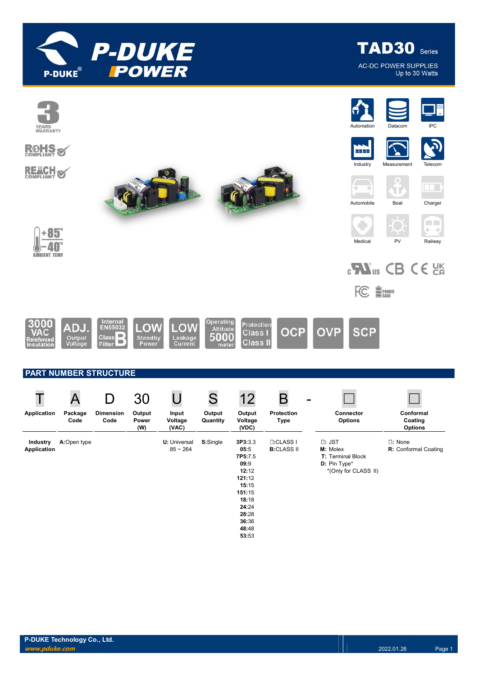

**TAD30** Series **AC-DC POWER SUPPLIES** Up to 30 Watts

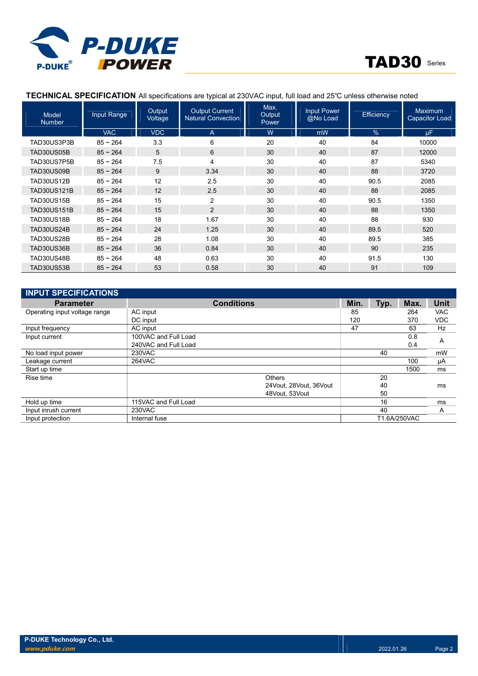



## TECHNICAL SPECIFICATION All specifications are typical at 230VAC input, full load and 25℃ unless otherwise noted

| Model<br><b>Number</b> | <b>Input Range</b> | Output<br>Voltage | <b>Output Current</b><br><b>Natural Convection</b> | Max.<br>Output<br>Power | <b>Input Power</b><br>@No Load | <b>Efficiency</b> | <b>Maximum</b><br><b>Capacitor Load</b> |
|------------------------|--------------------|-------------------|----------------------------------------------------|-------------------------|--------------------------------|-------------------|-----------------------------------------|
|                        | <b>VAC</b>         | <b>VDC</b>        | A                                                  | W                       | mW                             | $\%$              | <b>uF</b>                               |
| TAD30US3P3B            | $85 - 264$         | 3.3               | 6                                                  | 20                      | 40                             | 84                | 10000                                   |
| <b>TAD30US05B</b>      | $85 - 264$         | 5                 | 6                                                  | 30                      | 40                             | 87                | 12000                                   |
| TAD30US7P5B            | $85 - 264$         | 7.5               | 4                                                  | 30                      | 40                             | 87                | 5340                                    |
| TAD30US09B             | $85 - 264$         | 9                 | 3.34                                               | 30                      | 40                             | 88                | 3720                                    |
| <b>TAD30US12B</b>      | $85 - 264$         | 12                | 2.5                                                | 30                      | 40                             | 90.5              | 2085                                    |
| <b>TAD30US121B</b>     | $85 - 264$         | 12                | 2.5                                                | 30                      | 40                             | 88                | 2085                                    |
| <b>TAD30US15B</b>      | $85 - 264$         | 15                | 2                                                  | 30                      | 40                             | 90.5              | 1350                                    |
| <b>TAD30US151B</b>     | $85 - 264$         | 15                | $\overline{2}$                                     | 30                      | 40                             | 88                | 1350                                    |
| <b>TAD30US18B</b>      | $85 - 264$         | 18                | 1.67                                               | 30                      | 40                             | 88                | 930                                     |
| <b>TAD30US24B</b>      | $85 - 264$         | 24                | 1.25                                               | 30                      | 40                             | 89.5              | 520                                     |
| <b>TAD30US28B</b>      | $85 - 264$         | 28                | 1.08                                               | 30                      | 40                             | 89.5              | 385                                     |
| TAD30US36B             | $85 - 264$         | 36                | 0.84                                               | 30                      | 40                             | 90                | 235                                     |
| TAD30US48B             | $85 - 264$         | 48                | 0.63                                               | 30                      | 40                             | 91.5              | 130                                     |
| TAD30US53B             | $85 - 264$         | 53                | 0.58                                               | 30                      | 40                             | 91                | 109                                     |

| <b>INPUT SPECIFICATIONS</b>   |                      |                        |      |      |              |             |
|-------------------------------|----------------------|------------------------|------|------|--------------|-------------|
| <b>Parameter</b>              |                      | <b>Conditions</b>      | Min. | Typ. | Max.         | <b>Unit</b> |
| Operating input voltage range | AC input             |                        | 85   |      | 264          | <b>VAC</b>  |
|                               | DC input             |                        | 120  |      | 370          | <b>VDC</b>  |
| Input frequency               | AC input             |                        | 47   |      | 63           | Hz          |
| Input current                 | 100VAC and Full Load |                        |      |      | 0.8          | A           |
|                               | 240VAC and Full Load |                        |      |      | 0.4          |             |
| No load input power           | 230VAC               |                        |      | 40   |              | mW          |
| Leakage current               | 264VAC               |                        |      |      | 100          | μA          |
| Start up time                 |                      |                        |      |      | 1500         | ms          |
| Rise time                     |                      | Others                 |      | 20   |              |             |
|                               |                      | 24Vout, 28Vout, 36Vout |      | 40   |              | ms          |
|                               |                      | 48Vout. 53Vout         |      | 50   |              |             |
| Hold up time                  | 115VAC and Full Load |                        |      | 16   |              | ms          |
| Input inrush current          | 230VAC               |                        |      | 40   |              | A           |
| Input protection              | Internal fuse        |                        |      |      | T1.6A/250VAC |             |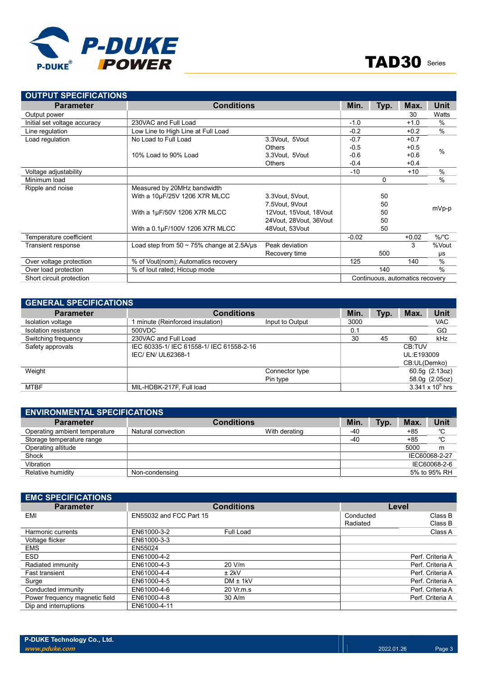

| <b>OUTPUT SPECIFICATIONS</b> |                                                 |                        |         |      |                                 |               |
|------------------------------|-------------------------------------------------|------------------------|---------|------|---------------------------------|---------------|
| <b>Parameter</b>             | <b>Conditions</b>                               |                        | Min.    | Typ. | Max.                            | Unit          |
| Output power                 |                                                 |                        |         |      | 30                              | Watts         |
| Initial set voltage accuracy | 230VAC and Full Load                            |                        | $-1.0$  |      | $+1.0$                          | $\frac{0}{0}$ |
| Line regulation              | Low Line to High Line at Full Load              |                        | $-0.2$  |      | $+0.2$                          | $\frac{0}{0}$ |
| Load regulation              | No Load to Full Load                            | 3.3Vout, 5Vout         | $-0.7$  |      | $+0.7$                          |               |
|                              |                                                 | <b>Others</b>          | $-0.5$  |      | $+0.5$                          | %             |
|                              | 10% Load to 90% Load                            | 3.3Vout, 5Vout         | $-0.6$  |      | $+0.6$                          |               |
|                              |                                                 | <b>Others</b>          | $-0.4$  |      | $+0.4$                          |               |
| Voltage adjustability        |                                                 |                        | $-10$   |      | $+10$                           | $\frac{0}{0}$ |
| Minimum load                 |                                                 |                        |         | 0    |                                 | $\frac{0}{0}$ |
| Ripple and noise             | Measured by 20MHz bandwidth                     |                        |         |      |                                 |               |
|                              | With a 10µF/25V 1206 X7R MLCC                   | 3.3Vout, 5Vout,        |         | 50   |                                 |               |
|                              |                                                 | 7.5Vout. 9Vout         |         | 50   |                                 |               |
|                              | With a $1\mu$ F/50V 1206 X7R MLCC               | 12Vout, 15Vout, 18Vout |         | 50   |                                 | mVp-p         |
|                              |                                                 | 24Vout, 28Vout, 36Vout |         | 50   |                                 |               |
|                              | With a 0.1µF/100V 1206 X7R MLCC                 | 48Vout, 53Vout         |         | 50   |                                 |               |
| Temperature coefficient      |                                                 |                        | $-0.02$ |      | $+0.02$                         | $\%$ /°C      |
| Transient response           | Load step from $50 \sim 75\%$ change at 2.5A/us | Peak deviation         |         |      | 3                               | %Vout         |
|                              |                                                 | Recovery time          |         | 500  |                                 | μs            |
| Over voltage protection      | % of Vout(nom); Automatics recovery             |                        | 125     |      | 140                             | $\frac{0}{0}$ |
| Over load protection         | % of lout rated; Hiccup mode                    |                        |         | 140  |                                 | $\frac{0}{0}$ |
| Short circuit protection     |                                                 |                        |         |      | Continuous, automatics recovery |               |

| <b>GENERAL SPECIFICATIONS</b> |                                          |                 |      |      |              |                    |  |  |  |
|-------------------------------|------------------------------------------|-----------------|------|------|--------------|--------------------|--|--|--|
| <b>Parameter</b>              | <b>Conditions</b>                        | Min.            | Typ. | Max. | <b>Unit</b>  |                    |  |  |  |
| Isolation voltage             | minute (Reinforced insulation)           | Input to Output | 3000 |      |              | <b>VAC</b>         |  |  |  |
| Isolation resistance          | 500VDC                                   |                 | 0.1  |      |              | $G\Omega$          |  |  |  |
| Switching frequency           | 230VAC and Full Load                     |                 | 30   | 45   | 60           | kHz                |  |  |  |
| Safety approvals              | IEC 60335-1/ IEC 61558-1/ IEC 61558-2-16 |                 |      |      | CB:TUV       |                    |  |  |  |
|                               | IEC/EN/UL62368-1                         |                 |      |      | UL:E193009   |                    |  |  |  |
|                               |                                          |                 |      |      | CB:UL(Demko) |                    |  |  |  |
| Weight                        |                                          | Connector type  |      |      |              | 60.5g (2.13oz)     |  |  |  |
|                               |                                          | Pin type        |      |      |              | 58.0g (2.05oz)     |  |  |  |
| <b>MTBF</b>                   | MIL-HDBK-217F, Full load                 |                 |      |      |              | 3.341 x $10^6$ hrs |  |  |  |

| <b>ENVIRONMENTAL SPECIFICATIONS</b> |                    |                                 |     |              |       |               |  |  |  |
|-------------------------------------|--------------------|---------------------------------|-----|--------------|-------|---------------|--|--|--|
| <b>Parameter</b>                    |                    | <b>Min</b><br><b>Conditions</b> |     |              |       | <b>Unit</b>   |  |  |  |
| Operating ambient temperature       | Natural convection | With derating                   | -40 |              | $+85$ | °C            |  |  |  |
| Storage temperature range           |                    |                                 | -40 |              | $+85$ | °C            |  |  |  |
| Operating altitude                  |                    |                                 |     |              | 5000  | m             |  |  |  |
| Shock                               |                    |                                 |     |              |       | IEC60068-2-27 |  |  |  |
| Vibration                           |                    |                                 |     |              |       | IEC60068-2-6  |  |  |  |
| Relative humidity                   | Non-condensing     |                                 |     | 5% to 95% RH |       |               |  |  |  |

| <b>EMC SPECIFICATIONS</b>      |                         |              |           |                  |
|--------------------------------|-------------------------|--------------|-----------|------------------|
| <b>Parameter</b>               |                         | Level        |           |                  |
| EMI                            | EN55032 and FCC Part 15 |              | Conducted | Class B          |
|                                |                         |              | Radiated  | Class B          |
| Harmonic currents              | EN61000-3-2             | Full Load    |           | Class A          |
| Voltage flicker                | EN61000-3-3             |              |           |                  |
| <b>EMS</b>                     | EN55024                 |              |           |                  |
| <b>ESD</b>                     | EN61000-4-2             |              |           | Perf. Criteria A |
| Radiated immunity              | EN61000-4-3             | 20 V/m       |           | Perf. Criteria A |
| <b>Fast transient</b>          | EN61000-4-4             | $±$ 2kV      |           | Perf. Criteria A |
| Surge                          | EN61000-4-5             | $DM \pm 1kV$ |           | Perf. Criteria A |
| Conducted immunity             | EN61000-4-6             | 20 Vr.m.s    |           | Perf. Criteria A |
| Power frequency magnetic field | EN61000-4-8             | $30$ A/m     |           | Perf. Criteria A |
| Dip and interruptions          | EN61000-4-11            |              |           |                  |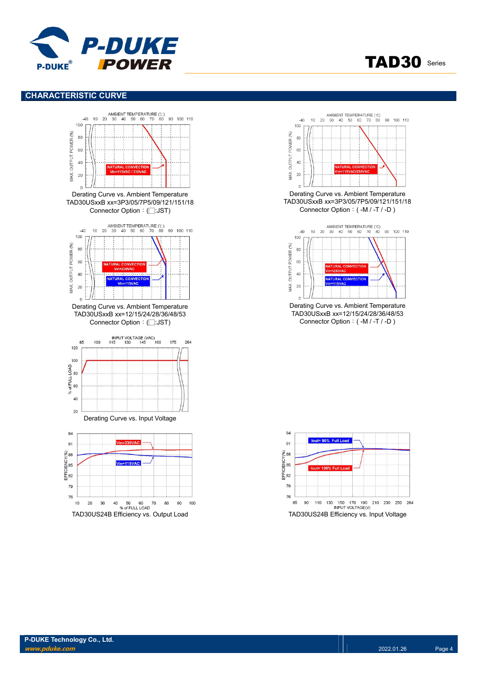

#### CHARACTERISTIC CURVE





TAD30 Series

Derating Curve vs. Ambient Temperature TAD30USxxB xx=3P3/05/7P5/09/121/151/18 Connector Option:( -M / -T / -D )



Derating Curve vs. Ambient Temperature TAD30USxxB xx=12/15/24/28/36/48/53 Connector Option:( -M / -T / -D )

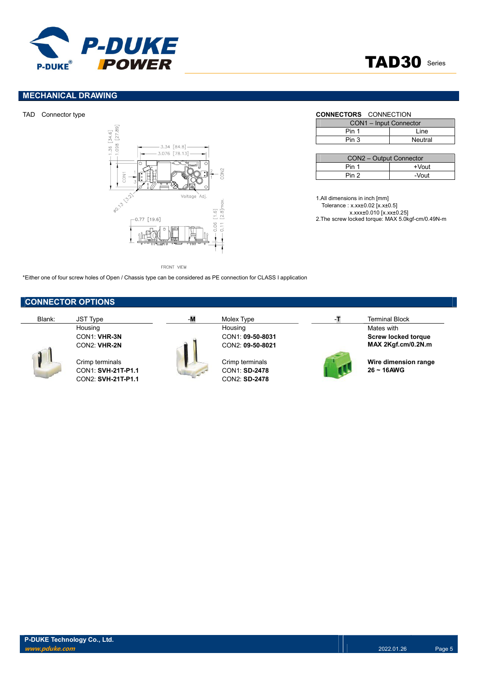

## MECHANICAL DRAWING



FRONT VIEW

\*Either one of four screw holes of Open / Chassis type can be considered as PE connection for CLASS I application

## CONNECTOR OPTIONS



CON1: SVH-21T-P1.1 CON1: SD-2478 CON2: SVH-21T-P1.1 CON2: SD-2478



# Housing Mates with the Housing Mater of the Housing Mates with the Mates with the Mates with  $\sim$



Blank: JST Type -M Molex Type -M Molex Type -T Terminal Block CON1: VHR-3N CON1: 09-50-8031 Screw locked torque CON2: VHR-2N CON2: 09-50-8021 MAX 2Kgf.cm/0.2N.m

Crimp terminals Crimp terminals CON1: SUH-21T-P1.1 Crimp terminals CON1: SD-2478 26 ~ 16AWG

#### TAD Connector type **CONNECTORS** CONNECTION

| CON1 - Input Connector |         |  |  |  |  |
|------------------------|---------|--|--|--|--|
| Pin 1                  | l ine   |  |  |  |  |
| Pin 3                  | Neutral |  |  |  |  |

| CON2 - Output Connector |          |  |  |  |  |  |
|-------------------------|----------|--|--|--|--|--|
| Pin 1                   | $+V$ out |  |  |  |  |  |
| Pin 2                   | -Vout    |  |  |  |  |  |

1.All dimensions in inch [mm] Tolerance : x.xx±0.02 [x.x±0.5] x.xxx±0.010 [x.xx±0.25] 2.The screw locked torque: MAX 5.0kgf-cm/0.49N-m

TAD30 Series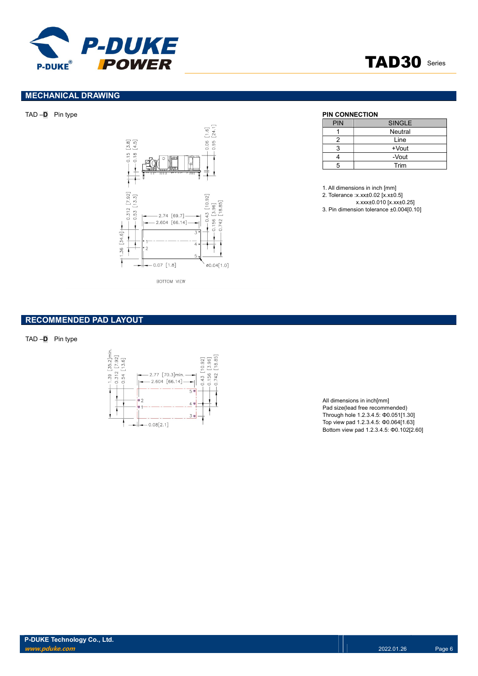



## MECHANICAL DRAWING



| PIN | <b>SINGLE</b> |
|-----|---------------|
|     | Neutral       |
| 2   | Line          |
|     | +Vout         |
|     | -Vout         |
| 5   | Trim          |

1. All dimensions in inch [mm]

2. Tolerance :x.xx±0.02 [x.x±0.5]

x.xxx±0.010 [x.xx±0.25]

3. Pin dimension tolerance ±0.004[0.10]

## RECOMMENDED PAD LAYOUT

 $TAD - D$  Pin type



All dimensions in inch[mm] Pad size(lead free recommended) Through hole 1.2.3.4.5: Φ0.051[1.30] Top view pad 1.2.3.4.5: Φ0.064[1.63] Bottom view pad 1.2.3.4.5: Φ0.102[2.60]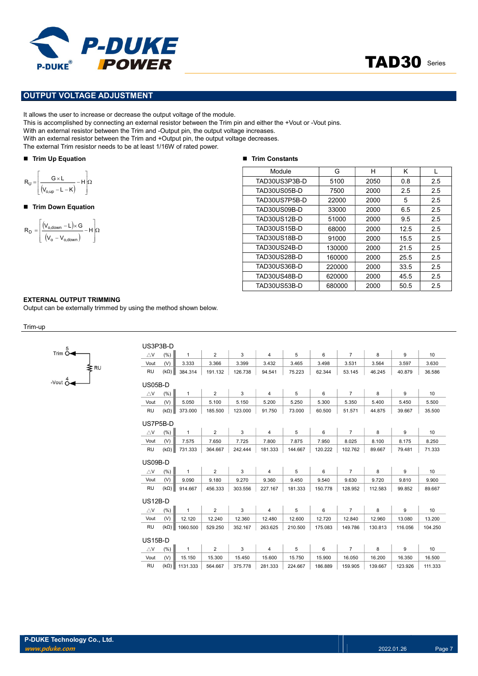



#### OUTPUT VOLTAGE ADJUSTMENT

It allows the user to increase or decrease the output voltage of the module.

This is accomplished by connecting an external resistor between the Trim pin and either the +Vout or -Vout pins.

With an external resistor between the Trim and -Output pin, the output voltage increases.

With an external resistor between the Trim and +Output pin, the output voltage decreases.

The external Trim resistor needs to be at least 1/16W of rated power.

#### ■ Trim Up Equation

$$
R_U=\!\left[\!\frac{G\times\!L}{\left(\!V_{o,up}\!-\!L\!-\!K\right)}\!-\!H\!\right]\!\!\Omega
$$

#### ■ Trim Down Equation

$$
R_D = \left[\frac{\left(V_{o,\text{down}} - L\right) \times G}{\left(V_o - V_{o,\text{down}}\right)} - H\right] \Omega
$$

#### ■ Trim Constants

| <b>P-DUKE</b><br>POWER<br>DUKE®                                                                                                                                                                                                                                                                                                                                                                                                                    |                     |        |      | <b>TAD30</b> Series |     |
|----------------------------------------------------------------------------------------------------------------------------------------------------------------------------------------------------------------------------------------------------------------------------------------------------------------------------------------------------------------------------------------------------------------------------------------------------|---------------------|--------|------|---------------------|-----|
| <b>PUT VOLTAGE ADJUSTMENT</b>                                                                                                                                                                                                                                                                                                                                                                                                                      |                     |        |      |                     |     |
| s the user to increase or decrease the output voltage of the module.<br>accomplished by connecting an external resistor between the Trim pin and either the +Vout or -Vout pins.<br>n external resistor between the Trim and -Output pin, the output voltage increases.<br>n external resistor between the Trim and +Output pin, the output voltage decreases.<br>ternal Trim resistor needs to be at least 1/16W of rated power.<br>n Up Equation | ■ Trim Constants    |        |      |                     |     |
|                                                                                                                                                                                                                                                                                                                                                                                                                                                    | Module              | G      | H    | K                   | L   |
|                                                                                                                                                                                                                                                                                                                                                                                                                                                    | TAD30US3P3B-D       | 5100   | 2050 | 0.8                 | 2.5 |
| $\frac{G \times L}{V_{o,up} - L - K}$ - H $\Omega$                                                                                                                                                                                                                                                                                                                                                                                                 | TAD30US05B-D        | 7500   | 2000 | 2.5                 | 2.5 |
|                                                                                                                                                                                                                                                                                                                                                                                                                                                    | TAD30US7P5B-D       | 22000  | 2000 | 5                   | 2.5 |
| n Down Equation                                                                                                                                                                                                                                                                                                                                                                                                                                    | TAD30US09B-D        | 33000  | 2000 | 6.5                 | 2.5 |
|                                                                                                                                                                                                                                                                                                                                                                                                                                                    | <b>TAD30US12B-D</b> | 51000  | 2000 | 9.5                 | 2.5 |
| $\frac{(V_{o,\text{down}} - L) \times G}{(V_o - V_{o,\text{down}})} - H$                                                                                                                                                                                                                                                                                                                                                                           | <b>TAD30US15B-D</b> | 68000  | 2000 | 12.5                | 2.5 |
|                                                                                                                                                                                                                                                                                                                                                                                                                                                    | <b>TAD30US18B-D</b> | 91000  | 2000 | 15.5                | 2.5 |
|                                                                                                                                                                                                                                                                                                                                                                                                                                                    | <b>TAD30US24B-D</b> | 130000 | 2000 | 21.5                | 2.5 |
|                                                                                                                                                                                                                                                                                                                                                                                                                                                    | <b>TAD30US28B-D</b> | 160000 | 2000 | 25.5                | 2.5 |
|                                                                                                                                                                                                                                                                                                                                                                                                                                                    | <b>TAD30US36B-D</b> | 220000 | 2000 | 33.5                | 2.5 |
|                                                                                                                                                                                                                                                                                                                                                                                                                                                    | <b>TAD30US48B-D</b> | 620000 | 2000 | 45.5                | 2.5 |
|                                                                                                                                                                                                                                                                                                                                                                                                                                                    | <b>TAD30US53B-D</b> | 680000 | 2000 | 50.5                | 2.5 |
|                                                                                                                                                                                                                                                                                                                                                                                                                                                    |                     |        |      |                     |     |

#### EXTERNAL OUTPUT TRIMMING

Output can be externally trimmed by using the method shown below.

 $U(0)$ 

Trim-up

| 5<br>Trim O               |      |
|---------------------------|------|
|                           | ะ R∪ |
| Vout $\stackrel{4}{\cap}$ |      |

| US3P3B-D           |             |              |                |         |                |         |         |                |         |         |         |
|--------------------|-------------|--------------|----------------|---------|----------------|---------|---------|----------------|---------|---------|---------|
| $\triangle$ V      | (% )        | 1            | $\overline{2}$ | 3       | 4              | 5       | 6       | $\overline{7}$ | 8       | 9       | 10      |
| Vout               | (V)         | 3.333        | 3.366          | 3.399   | 3.432          | 3.465   | 3.498   | 3.531          | 3.564   | 3.597   | 3.630   |
| <b>RU</b>          | $(k\Omega)$ | 384.314      | 191.132        | 126.738 | 94.541         | 75.223  | 62.344  | 53.145         | 46.245  | 40.879  | 36.586  |
| $US05B-D$          |             |              |                |         |                |         |         |                |         |         |         |
| $\triangle$ V      | (% )        | $\mathbf{1}$ | $\overline{2}$ | 3       | $\overline{4}$ | 5       | 6       | $\overline{7}$ | 8       | 9       | 10      |
| Vout               | (V)         | 5.050        | 5.100          | 5.150   | 5.200          | 5.250   | 5.300   | 5.350          | 5.400   | 5.450   | 5.500   |
| <b>RU</b>          | $(k\Omega)$ | 373.000      | 185.500        | 123.000 | 91.750         | 73.000  | 60.500  | 51.571         | 44.875  | 39.667  | 35.500  |
|                    |             |              |                |         |                |         |         |                |         |         |         |
| US7P5B-D           |             |              |                |         |                |         |         |                |         |         |         |
| $\triangle$ V      | (% )        | $\mathbf{1}$ | $\overline{2}$ | 3       | $\overline{4}$ | 5       | 6       | $\overline{7}$ | 8       | 9       | 10      |
| Vout               | (V)         | 7.575        | 7.650          | 7.725   | 7.800          | 7.875   | 7.950   | 8.025          | 8.100   | 8.175   | 8.250   |
| <b>RU</b>          | $(k\Omega)$ | 731.333      | 364.667        | 242.444 | 181.333        | 144.667 | 120.222 | 102.762        | 89.667  | 79.481  | 71.333  |
| US09B-D            |             |              |                |         |                |         |         |                |         |         |         |
| $\triangle$ V      | (% )        | $\mathbf{1}$ | $\overline{2}$ | 3       | $\overline{4}$ | 5       | 6       | $\overline{7}$ | 8       | 9       | 10      |
| Vout               | (V)         | 9.090        | 9.180          | 9.270   | 9.360          | 9.450   | 9.540   | 9.630          | 9.720   | 9.810   | 9.900   |
| <b>RU</b>          | $(k\Omega)$ | 914.667      | 456.333        | 303.556 | 227.167        | 181.333 | 150.778 | 128.952        | 112.583 | 99.852  | 89.667  |
| $US12B-D$          |             |              |                |         |                |         |         |                |         |         |         |
| $\bigtriangleup$ V | (% )        | $\mathbf{1}$ | $\overline{2}$ | 3       | $\overline{4}$ | 5       | 6       | $\overline{7}$ | 8       | 9       | 10      |
| Vout               | (V)         | 12.120       | 12.240         | 12.360  | 12.480         | 12.600  | 12.720  | 12.840         | 12.960  | 13.080  | 13.200  |
| <b>RU</b>          | $(k\Omega)$ | 1060.500     | 529.250        | 352.167 | 263.625        | 210.500 | 175.083 | 149.786        | 130.813 | 116.056 | 104.250 |
| $US15B-D$          |             |              |                |         |                |         |         |                |         |         |         |
| $\triangle$ V      | (% )        | $\mathbf{1}$ | $\overline{2}$ | 3       | $\overline{4}$ | 5       | 6       | $\overline{7}$ | 8       | 9       | 10      |
|                    |             |              |                |         |                |         |         |                |         |         | 16.500  |
| Vout               | (V)         | 15.150       | 15.300         | 15.450  | 15.600         | 15.750  | 15.900  | 16.050         | 16.200  | 16.350  |         |
| <b>RU</b>          | $(k\Omega)$ | 1131.333     | 564.667        | 375.778 | 281.333        | 224.667 | 186.889 | 159.905        | 139.667 | 123.926 | 111.333 |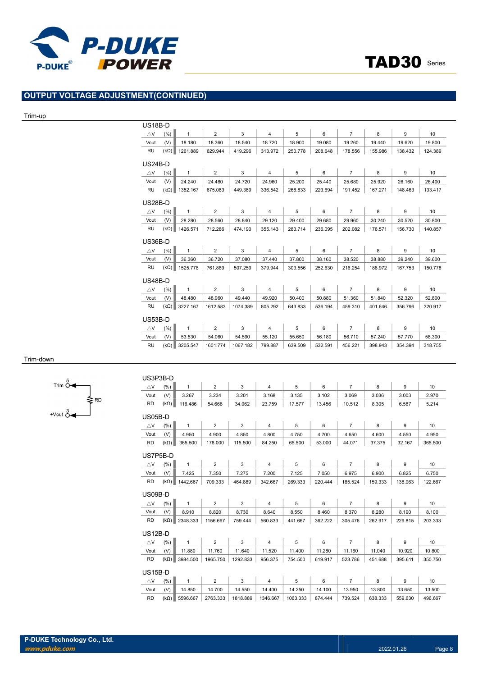

# OUTPUT VOLTAGE ADJUSTMENT(CONTINUED)

#### Trim-up

|                | US18B-D     |              |                |          |                |         |         |                |         |         |                                                                    |
|----------------|-------------|--------------|----------------|----------|----------------|---------|---------|----------------|---------|---------|--------------------------------------------------------------------|
| $\triangle$ V  | (% )        | $\mathbf{1}$ | $\overline{2}$ | 3        | $\overline{4}$ | 5       | 6       | $\overline{7}$ | 8       | 9       | 10                                                                 |
| Vout           | (V)         | 18.180       | 18.360         | 18.540   | 18.720         | 18.900  | 19.080  | 19.260         | 19.440  | 19.620  | 19.800                                                             |
| <b>RU</b>      | $(k\Omega)$ | 1261.889     | 629.944        | 419.296  | 313.972        | 250.778 | 208.648 | 178.556        | 155.986 | 138.432 | 124.389                                                            |
| $US24B-D$      |             |              |                |          |                |         |         |                |         |         |                                                                    |
| $\triangle$ V  | (% )        | $\mathbf{1}$ | $\overline{2}$ | 3        | 4              | 5       | 6       | $\overline{7}$ | 8       | 9       | 10                                                                 |
| Vout           | (V)         | 24.240       | 24.480         | 24.720   | 24.960         | 25.200  | 25.440  | 25.680         | 25.920  | 26.160  | 26.400                                                             |
| <b>RU</b>      | $(k\Omega)$ | 1352.167     | 675.083        | 449.389  | 336.542        | 268.833 | 223.694 | 191.452        | 167.271 | 148.463 | 133.417                                                            |
| <b>US28B-D</b> |             |              |                |          |                |         |         |                |         |         |                                                                    |
| $\triangle$ V  | (% )        | $\mathbf{1}$ | $\overline{2}$ | 3        | $\overline{4}$ | 5       | 6       | $\overline{7}$ | 8       | 9       | 10                                                                 |
| Vout           | (V)         | 28.280       | 28.560         | 28.840   | 29.120         | 29.400  | 29.680  | 29.960         | 30.240  | 30.520  | 30.800                                                             |
| <b>RU</b>      | $(k\Omega)$ | 1426.571     | 712.286        | 474.190  | 355.143        | 283.714 | 236.095 | 202.082        | 176.571 | 156.730 | 140.857                                                            |
| <b>US36B-D</b> |             |              |                |          |                |         |         |                |         |         |                                                                    |
|                |             |              |                |          |                |         |         |                |         |         |                                                                    |
| $\triangle$ V  | (% )        | $\mathbf{1}$ | $\overline{2}$ | 3        | $\overline{4}$ | 5       | 6       | $\overline{7}$ | 8       | 9       |                                                                    |
| Vout           | (V)         | 36.360       | 36.720         | 37.080   | 37.440         | 37.800  | 38.160  | 38.520         | 38.880  | 39.240  |                                                                    |
| <b>RU</b>      | $(k\Omega)$ | 1525.778     | 761.889        | 507.259  | 379.944        | 303.556 | 252.630 | 216.254        | 188.972 | 167.753 |                                                                    |
| <b>US48B-D</b> |             |              |                |          |                |         |         |                |         |         |                                                                    |
| $\triangle$ V  | (% )        | $\mathbf{1}$ | $\overline{2}$ | 3        | $\overline{4}$ | 5       | 6       | $\overline{7}$ | 8       | 9       |                                                                    |
| Vout           | (V)         | 48.480       | 48.960         | 49.440   | 49.920         | 50.400  | 50.880  | 51.360         | 51.840  | 52.320  |                                                                    |
| <b>RU</b>      | $(k\Omega)$ | 3227.167     | 1612.583       | 1074.389 | 805.292        | 643.833 | 536.194 | 459.310        | 401.646 | 356.796 |                                                                    |
| <b>US53B-D</b> |             |              |                |          |                |         |         |                |         |         |                                                                    |
| $\triangle$ V  | (% )        | $\mathbf{1}$ | $\overline{2}$ | 3        | 4              | 5       | 6       | $\overline{7}$ | 8       | 9       |                                                                    |
| Vout           | (V)         | 53.530       | 54.060         | 54.590   | 55.120         | 55.650  | 56.180  | 56.710         | 57.240  | 57.770  | 10<br>39.600<br>150.778<br>10<br>52.800<br>320.917<br>10<br>58.300 |

#### Trim-down



| US3P3B-D           |             |              |                |          |                |          |         |                |         |         |                 |
|--------------------|-------------|--------------|----------------|----------|----------------|----------|---------|----------------|---------|---------|-----------------|
| $\triangle$ V      | (% )        | $\mathbf{1}$ | $\overline{2}$ | 3        | $\overline{4}$ | 5        | 6       | $\overline{7}$ | 8       | 9       | 10              |
| Vout               | (V)         | 3.267        | 3.234          | 3.201    | 3.168          | 3.135    | 3.102   | 3.069          | 3.036   | 3.003   | 2.970           |
| <b>RD</b>          | $(k\Omega)$ | 116.486      | 54.668         | 34.062   | 23.759         | 17.577   | 13.456  | 10.512         | 8.305   | 6.587   | 5.214           |
| <b>US05B-D</b>     |             |              |                |          |                |          |         |                |         |         |                 |
| $\triangle$ V      | (%)         | $\mathbf{1}$ | 2              | 3        | $\overline{4}$ | 5        | 6       | $\overline{7}$ | 8       | 9       | 10              |
| Vout               | (V)         | 4.950        | 4.900          | 4.850    | 4.800          | 4.750    | 4.700   | 4.650          | 4.600   | 4.550   | 4.950           |
| <b>RD</b>          | $(k\Omega)$ | 365.500      | 178.000        | 115.500  | 84.250         | 65.500   | 53.000  | 44.071         | 37.375  | 32.167  | 365.500         |
| US7P5B-D           |             |              |                |          |                |          |         |                |         |         |                 |
| $\triangle$ V      | (% )        | $\mathbf{1}$ | $\overline{2}$ | 3        | $\overline{4}$ | 5        | 6       | $\overline{7}$ | 8       | 9       | 10              |
| Vout               | (V)         | 7.425        | 7.350          | 7.275    | 7.200          | 7.125    | 7.050   | 6.975          | 6.900   | 6.825   | 6.750           |
| <b>RD</b>          | $(k\Omega)$ | 1442.667     | 709.333        | 464.889  | 342.667        | 269.333  | 220.444 | 185.524        | 159.333 | 138.963 | 122.667         |
| US09B-D            |             |              |                |          |                |          |         |                |         |         |                 |
| $\bigtriangleup$ V | (% )        | $\mathbf{1}$ | $\overline{2}$ | 3        | $\overline{4}$ | 5        | 6       | $\overline{7}$ | 8       | 9       | 10              |
| Vout               | (V)         | 8.910        | 8.820          | 8.730    | 8.640          | 8.550    | 8.460   | 8.370          | 8.280   | 8.190   | 8.100           |
| <b>RD</b>          | $(k\Omega)$ | 2348.333     | 1156.667       | 759.444  | 560.833        | 441.667  | 362.222 | 305.476        | 262.917 | 229.815 | 203.333         |
| <b>US12B-D</b>     |             |              |                |          |                |          |         |                |         |         |                 |
| $\triangle$ V      | (%)         | $\mathbf{1}$ | $\overline{2}$ | 3        | $\overline{4}$ | 5        | 6       | $\overline{7}$ | 8       | 9       | 10 <sup>1</sup> |
| Vout               | (V)         | 11.880       | 11.760         | 11.640   | 11.520         | 11.400   | 11.280  | 11.160         | 11.040  | 10.920  | 10.800          |
| <b>RD</b>          | $(k\Omega)$ | 3984.500     | 1965.750       | 1292.833 | 956.375        | 754.500  | 619.917 | 523.786        | 451.688 | 395.611 | 350.750         |
| $US15B-D$          |             |              |                |          |                |          |         |                |         |         |                 |
| $\triangle$ V      | (% )        | 1            | $\overline{2}$ | 3        | $\overline{4}$ | 5        | 6       | $\overline{7}$ | 8       | 9       | 10              |
| Vout               | (V)         | 14.850       | 14.700         | 14.550   | 14.400         | 14.250   | 14.100  | 13.950         | 13.800  | 13.650  | 13.500          |
| <b>RD</b>          | $(k\Omega)$ | 5596.667     | 2763.333       | 1818.889 | 1346.667       | 1063.333 | 874.444 | 739.524        | 638.333 | 559.630 | 496.667         |